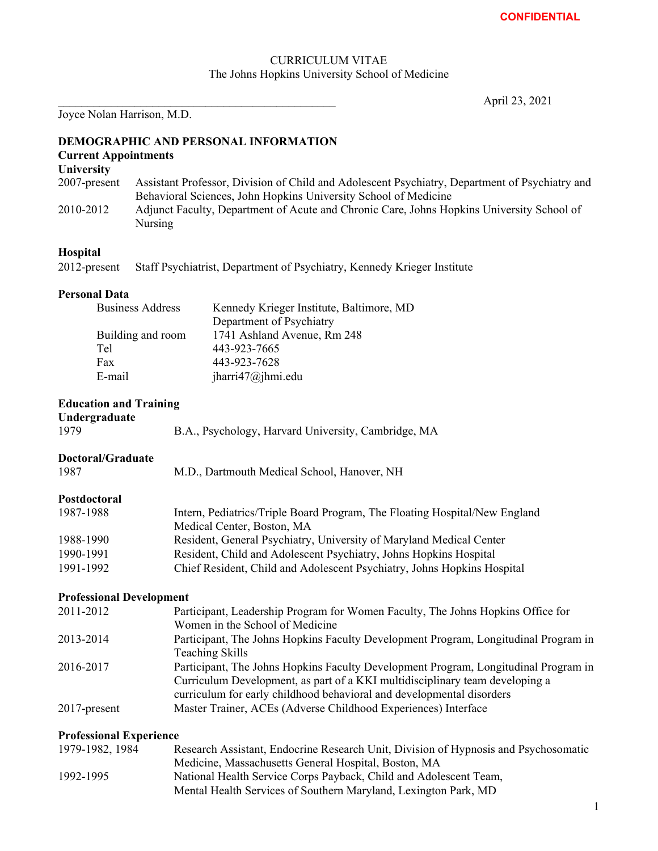## CURRICULUM VITAE The Johns Hopkins University School of Medicine

\_\_\_\_\_\_\_\_\_\_\_\_\_\_\_\_\_\_\_\_\_\_\_\_\_\_\_\_\_\_\_\_\_\_\_\_\_\_\_\_\_\_\_\_\_\_\_ April 23, 2021

Joyce Nolan Harrison, M.D.

| Joyce Nolan Harrison, M.D.                             |                                                                                                                                                                                                                                              |  |
|--------------------------------------------------------|----------------------------------------------------------------------------------------------------------------------------------------------------------------------------------------------------------------------------------------------|--|
| <b>Current Appointments</b><br>University              | <b>DEMOGRAPHIC AND PERSONAL INFORMATION</b>                                                                                                                                                                                                  |  |
| 2007-present                                           | Assistant Professor, Division of Child and Adolescent Psychiatry, Department of Psychiatry and                                                                                                                                               |  |
| 2010-2012                                              | Behavioral Sciences, John Hopkins University School of Medicine<br>Adjunct Faculty, Department of Acute and Chronic Care, Johns Hopkins University School of<br>Nursing                                                                      |  |
| Hospital                                               |                                                                                                                                                                                                                                              |  |
| 2012-present                                           | Staff Psychiatrist, Department of Psychiatry, Kennedy Krieger Institute                                                                                                                                                                      |  |
| <b>Personal Data</b>                                   |                                                                                                                                                                                                                                              |  |
|                                                        | <b>Business Address</b><br>Kennedy Krieger Institute, Baltimore, MD                                                                                                                                                                          |  |
|                                                        | Department of Psychiatry<br>1741 Ashland Avenue, Rm 248<br>Building and room                                                                                                                                                                 |  |
| Tel                                                    | 443-923-7665                                                                                                                                                                                                                                 |  |
| Fax                                                    | 443-923-7628                                                                                                                                                                                                                                 |  |
| E-mail                                                 | jharri47@jhmi.edu                                                                                                                                                                                                                            |  |
| <b>Education and Training</b><br>Undergraduate<br>1979 | B.A., Psychology, Harvard University, Cambridge, MA                                                                                                                                                                                          |  |
| <b>Doctoral/Graduate</b><br>1987                       | M.D., Dartmouth Medical School, Hanover, NH                                                                                                                                                                                                  |  |
| Postdoctoral<br>1987-1988                              | Intern, Pediatrics/Triple Board Program, The Floating Hospital/New England<br>Medical Center, Boston, MA                                                                                                                                     |  |
| 1988-1990                                              | Resident, General Psychiatry, University of Maryland Medical Center                                                                                                                                                                          |  |
| 1990-1991                                              | Resident, Child and Adolescent Psychiatry, Johns Hopkins Hospital                                                                                                                                                                            |  |
| 1991-1992                                              | Chief Resident, Child and Adolescent Psychiatry, Johns Hopkins Hospital                                                                                                                                                                      |  |
| <b>Professional Development</b>                        |                                                                                                                                                                                                                                              |  |
| 2011-2012                                              | Participant, Leadership Program for Women Faculty, The Johns Hopkins Office for<br>Women in the School of Medicine                                                                                                                           |  |
| 2013-2014                                              | Participant, The Johns Hopkins Faculty Development Program, Longitudinal Program in<br><b>Teaching Skills</b>                                                                                                                                |  |
| 2016-2017                                              | Participant, The Johns Hopkins Faculty Development Program, Longitudinal Program in<br>Curriculum Development, as part of a KKI multidisciplinary team developing a<br>curriculum for early childhood behavioral and developmental disorders |  |
| 2017-present                                           | Master Trainer, ACEs (Adverse Childhood Experiences) Interface                                                                                                                                                                               |  |
| <b>Professional Experience</b>                         |                                                                                                                                                                                                                                              |  |
| 1979-1982, 1984                                        | Research Assistant, Endocrine Research Unit, Division of Hypnosis and Psychosomatic<br>Medicine, Massachusetts General Hospital, Boston, MA                                                                                                  |  |
| 1992-1995                                              | National Health Service Corps Payback, Child and Adolescent Team,<br>Mental Health Services of Southern Maryland, Lexington Park, MD                                                                                                         |  |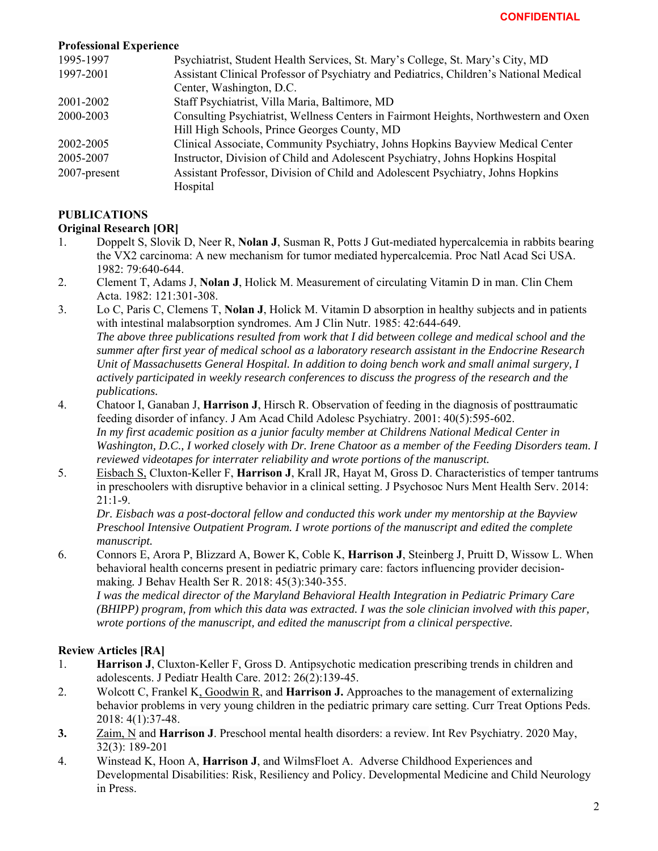#### **Professional Experience**

| 1995-1997                                                                                           | Psychiatrist, Student Health Services, St. Mary's College, St. Mary's City, MD       |
|-----------------------------------------------------------------------------------------------------|--------------------------------------------------------------------------------------|
| Assistant Clinical Professor of Psychiatry and Pediatrics, Children's National Medical<br>1997-2001 |                                                                                      |
|                                                                                                     | Center, Washington, D.C.                                                             |
| 2001-2002                                                                                           | Staff Psychiatrist, Villa Maria, Baltimore, MD                                       |
| 2000-2003                                                                                           | Consulting Psychiatrist, Wellness Centers in Fairmont Heights, Northwestern and Oxen |
|                                                                                                     | Hill High Schools, Prince Georges County, MD                                         |
| 2002-2005                                                                                           | Clinical Associate, Community Psychiatry, Johns Hopkins Bayview Medical Center       |
| 2005-2007                                                                                           | Instructor, Division of Child and Adolescent Psychiatry, Johns Hopkins Hospital      |
| 2007-present                                                                                        | Assistant Professor, Division of Child and Adolescent Psychiatry, Johns Hopkins      |
|                                                                                                     | Hospital                                                                             |
|                                                                                                     |                                                                                      |

# **PUBLICATIONS**

#### **Original Research [OR]**

- 1. Doppelt S, Slovik D, Neer R, **Nolan J**, Susman R, Potts J Gut-mediated hypercalcemia in rabbits bearing the VX2 carcinoma: A new mechanism for tumor mediated hypercalcemia. Proc Natl Acad Sci USA. 1982: 79:640-644.
- 2. Clement T, Adams J, **Nolan J**, Holick M. Measurement of circulating Vitamin D in man. Clin Chem Acta. 1982: 121:301-308.
- 3. Lo C, Paris C, Clemens T, **Nolan J**, Holick M. Vitamin D absorption in healthy subjects and in patients with intestinal malabsorption syndromes. Am J Clin Nutr. 1985: 42:644-649. *The above three publications resulted from work that I did between college and medical school and the summer after first year of medical school as a laboratory research assistant in the Endocrine Research Unit of Massachusetts General Hospital. In addition to doing bench work and small animal surgery, I actively participated in weekly research conferences to discuss the progress of the research and the publications.*
- 4. Chatoor I, Ganaban J, **Harrison J**, Hirsch R. Observation of feeding in the diagnosis of posttraumatic feeding disorder of infancy. J Am Acad Child Adolesc Psychiatry. 2001: 40(5):595-602. *In my first academic position as a junior faculty member at Childrens National Medical Center in Washington, D.C., I worked closely with Dr. Irene Chatoor as a member of the Feeding Disorders team. I reviewed videotapes for interrater reliability and wrote portions of the manuscript.*
- 5. Eisbach S, Cluxton-Keller F, **Harrison J**, Krall JR, Hayat M, Gross D. Characteristics of temper tantrums in preschoolers with disruptive behavior in a clinical setting. J Psychosoc Nurs Ment Health Serv. 2014: 21:1-9.

*Dr. Eisbach was a post-doctoral fellow and conducted this work under my mentorship at the Bayview Preschool Intensive Outpatient Program. I wrote portions of the manuscript and edited the complete manuscript.*

6. Connors E, Arora P, Blizzard A, Bower K, Coble K, **Harrison J**, Steinberg J, Pruitt D, Wissow L. When behavioral health concerns present in pediatric primary care: factors influencing provider decisionmaking*.* J Behav Health Ser R. 2018: 45(3):340-355.

*I was the medical director of the Maryland Behavioral Health Integration in Pediatric Primary Care (BHIPP) program, from which this data was extracted. I was the sole clinician involved with this paper, wrote portions of the manuscript, and edited the manuscript from a clinical perspective.* 

#### **Review Articles [RA]**

- 1. **Harrison J**, Cluxton-Keller F, Gross D. Antipsychotic medication prescribing trends in children and adolescents. J Pediatr Health Care. 2012: 26(2):139-45.
- 2. Wolcott C, Frankel K, Goodwin R, and **Harrison J.** Approaches to the management of externalizing behavior problems in very young children in the pediatric primary care setting. Curr Treat Options Peds. 2018: 4(1):37-48.
- **3.** Zaim, N and **Harrison J**. Preschool mental health disorders: a review. Int Rev Psychiatry. 2020 May, 32(3): 189-201
- 4. Winstead K, Hoon A, **Harrison J**, and WilmsFloet A. Adverse Childhood Experiences and Developmental Disabilities: Risk, Resiliency and Policy. Developmental Medicine and Child Neurology in Press.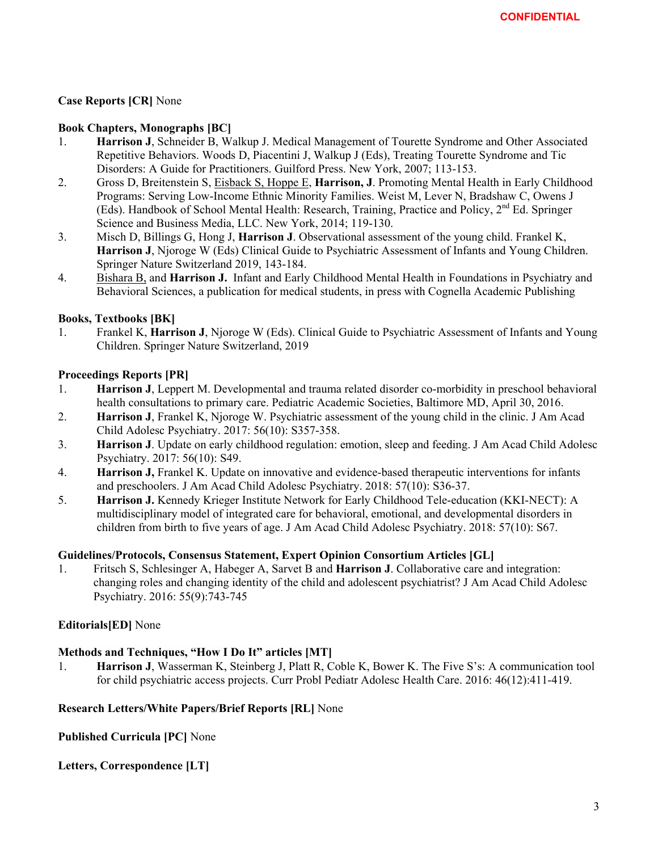#### **Case Reports [CR]** None

#### **Book Chapters, Monographs [BC]**

- 1. **Harrison J**, Schneider B, Walkup J. Medical Management of Tourette Syndrome and Other Associated Repetitive Behaviors. Woods D, Piacentini J, Walkup J (Eds), Treating Tourette Syndrome and Tic Disorders: A Guide for Practitioners. Guilford Press. New York, 2007; 113-153.
- 2. Gross D, Breitenstein S, Eisback S, Hoppe E, **Harrison, J**. Promoting Mental Health in Early Childhood Programs: Serving Low-Income Ethnic Minority Families. Weist M, Lever N, Bradshaw C, Owens J (Eds). Handbook of School Mental Health: Research, Training, Practice and Policy,  $2<sup>nd</sup>$  Ed. Springer Science and Business Media, LLC. New York, 2014; 119-130.
- 3. Misch D, Billings G, Hong J, **Harrison J**. Observational assessment of the young child. Frankel K, **Harrison J**, Njoroge W (Eds) Clinical Guide to Psychiatric Assessment of Infants and Young Children. Springer Nature Switzerland 2019, 143-184.
- 4. Bishara B, and **Harrison J.** Infant and Early Childhood Mental Health in Foundations in Psychiatry and Behavioral Sciences, a publication for medical students, in press with Cognella Academic Publishing

#### **Books, Textbooks [BK]**

1. Frankel K, **Harrison J**, Njoroge W (Eds). Clinical Guide to Psychiatric Assessment of Infants and Young Children. Springer Nature Switzerland, 2019

#### **Proceedings Reports [PR]**

- 1. **Harrison J**, Leppert M. Developmental and trauma related disorder co-morbidity in preschool behavioral health consultations to primary care. Pediatric Academic Societies, Baltimore MD, April 30, 2016.
- 2. **Harrison J**, Frankel K, Njoroge W. Psychiatric assessment of the young child in the clinic. J Am Acad Child Adolesc Psychiatry. 2017: 56(10): S357-358.
- 3. **Harrison J**. Update on early childhood regulation: emotion, sleep and feeding. J Am Acad Child Adolesc Psychiatry. 2017: 56(10): S49.
- 4. **Harrison J,** Frankel K. Update on innovative and evidence-based therapeutic interventions for infants and preschoolers. J Am Acad Child Adolesc Psychiatry. 2018: 57(10): S36-37.
- 5. **Harrison J.** Kennedy Krieger Institute Network for Early Childhood Tele-education (KKI-NECT): A multidisciplinary model of integrated care for behavioral, emotional, and developmental disorders in children from birth to five years of age. J Am Acad Child Adolesc Psychiatry. 2018: 57(10): S67.

#### **Guidelines/Protocols, Consensus Statement, Expert Opinion Consortium Articles [GL]**

1. Fritsch S, Schlesinger A, Habeger A, Sarvet B and **Harrison J**. Collaborative care and integration: changing roles and changing identity of the child and adolescent psychiatrist? J Am Acad Child Adolesc Psychiatry. 2016: 55(9):743-745

#### **Editorials[ED]** None

#### **Methods and Techniques, "How I Do It" articles [MT]**

1. **Harrison J**, Wasserman K, Steinberg J, Platt R, Coble K, Bower K. The Five S's: A communication tool for child psychiatric access projects. Curr Probl Pediatr Adolesc Health Care. 2016: 46(12):411-419.

#### **Research Letters/White Papers/Brief Reports [RL]** None

#### **Published Curricula [PC]** None

#### **Letters, Correspondence [LT]**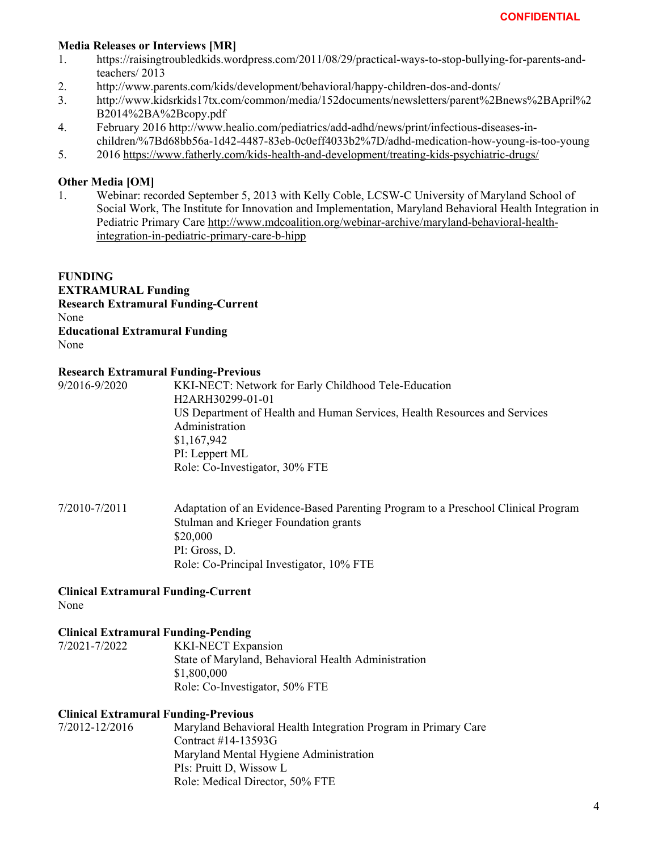#### **Media Releases or Interviews [MR]**

- 1. https://raisingtroubledkids.wordpress.com/2011/08/29/practical-ways-to-stop-bullying-for-parents-andteachers/ 2013
- 2. http://www.parents.com/kids/development/behavioral/happy-children-dos-and-donts/
- 3. http://www.kidsrkids17tx.com/common/media/152documents/newsletters/parent%2Bnews%2BApril%2 B2014%2BA%2Bcopy.pdf
- 4. February 2016 http://www.healio.com/pediatrics/add-adhd/news/print/infectious-diseases-inchildren/%7Bd68bb56a-1d42-4487-83eb-0c0eff4033b2%7D/adhd-medication-how-young-is-too-young
- 5. 2016 https://www.fatherly.com/kids-health-and-development/treating-kids-psychiatric-drugs/

#### **Other Media [OM]**

1. Webinar: recorded September 5, 2013 with Kelly Coble, LCSW-C University of Maryland School of Social Work, The Institute for Innovation and Implementation, Maryland Behavioral Health Integration in Pediatric Primary Care http://www.mdcoalition.org/webinar-archive/maryland-behavioral-healthintegration-in-pediatric-primary-care-b-hipp

#### **FUNDING**

#### **EXTRAMURAL Funding Research Extramural Funding-Current**  None **Educational Extramural Funding**  None

#### **Research Extramural Funding-Previous**

9/2016-9/2020 KKI-NECT: Network for Early Childhood Tele-Education H2ARH30299-01-01 US Department of Health and Human Services, Health Resources and Services Administration \$1,167,942 PI: Leppert ML Role: Co-Investigator, 30% FTE

7/2010-7/2011 Adaptation of an Evidence-Based Parenting Program to a Preschool Clinical Program Stulman and Krieger Foundation grants \$20,000 PI: Gross, D. Role: Co-Principal Investigator, 10% FTE

# **Clinical Extramural Funding-Current**

None

# **Clinical Extramural Funding-Pending**

7/2021-7/2022 KKI-NECT Expansion State of Maryland, Behavioral Health Administration \$1,800,000 Role: Co-Investigator, 50% FTE

## **Clinical Extramural Funding-Previous**

7/2012-12/2016 Maryland Behavioral Health Integration Program in Primary Care Contract #14-13593G Maryland Mental Hygiene Administration PIs: Pruitt D, Wissow L Role: Medical Director, 50% FTE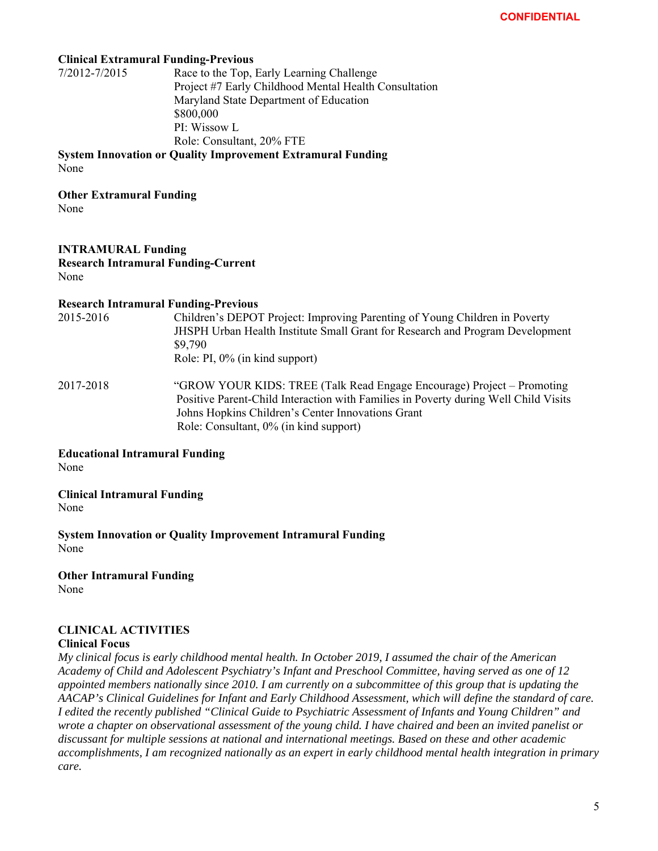#### **Clinical Extramural Funding-Previous**

7/2012-7/2015 Race to the Top, Early Learning Challenge Project #7 Early Childhood Mental Health Consultation Maryland State Department of Education \$800,000 PI: Wissow L Role: Consultant, 20% FTE

**System Innovation or Quality Improvement Extramural Funding**  None

# **Other Extramural Funding**

None

#### **INTRAMURAL Funding**

**Research Intramural Funding-Current**  None

#### **Research Intramural Funding-Previous**

| 2015-2016 | Children's DEPOT Project: Improving Parenting of Young Children in Poverty           |
|-----------|--------------------------------------------------------------------------------------|
|           | <b>JHSPH Urban Health Institute Small Grant for Research and Program Development</b> |
|           | \$9.790                                                                              |
|           | Role: PI, $0\%$ (in kind support)                                                    |

2017-2018 "GROW YOUR KIDS: TREE (Talk Read Engage Encourage) Project – Promoting Positive Parent-Child Interaction with Families in Poverty during Well Child Visits Johns Hopkins Children's Center Innovations Grant Role: Consultant, 0% (in kind support)

**Educational Intramural Funding**  None

**Clinical Intramural Funding**  None

**System Innovation or Quality Improvement Intramural Funding**  None

**Other Intramural Funding**  None

#### **CLINICAL ACTIVITIES Clinical Focus**

*My clinical focus is early childhood mental health. In October 2019, I assumed the chair of the American Academy of Child and Adolescent Psychiatry's Infant and Preschool Committee, having served as one of 12 appointed members nationally since 2010. I am currently on a subcommittee of this group that is updating the AACAP's Clinical Guidelines for Infant and Early Childhood Assessment, which will define the standard of care. I edited the recently published "Clinical Guide to Psychiatric Assessment of Infants and Young Children" and wrote a chapter on observational assessment of the young child. I have chaired and been an invited panelist or discussant for multiple sessions at national and international meetings. Based on these and other academic accomplishments, I am recognized nationally as an expert in early childhood mental health integration in primary care.*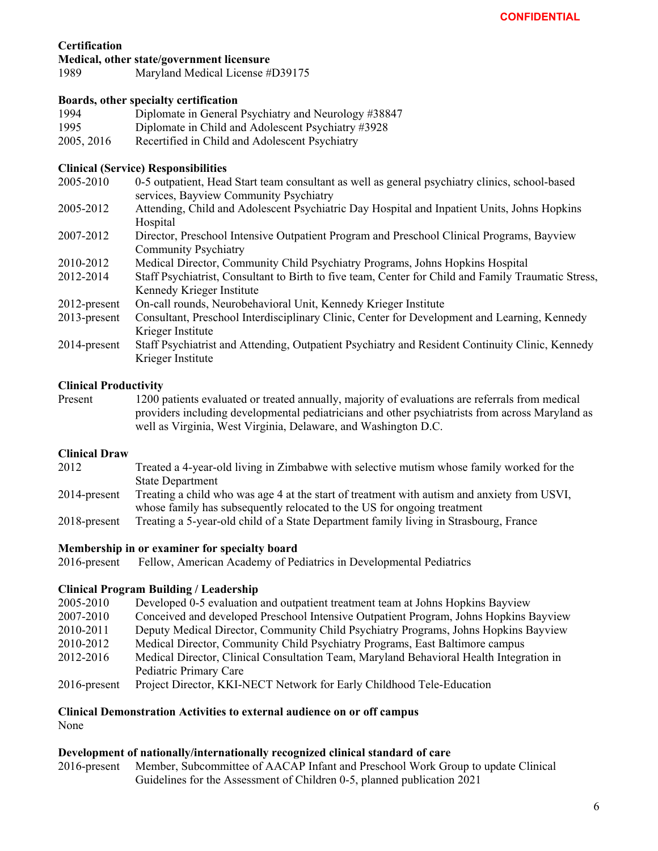#### **Certification**

#### **Medical, other state/government licensure**

1989 Maryland Medical License #D39175

#### **Boards, other specialty certification**

| 1994       | Diplomate in General Psychiatry and Neurology #38847 |
|------------|------------------------------------------------------|
| 1995       | Diplomate in Child and Adolescent Psychiatry #3928   |
| 2005, 2016 | Recertified in Child and Adolescent Psychiatry       |

#### **Clinical (Service) Responsibilities**

| 2005-2010       | 0-5 outpatient, Head Start team consultant as well as general psychiatry clinics, school-based<br>services, Bayview Community Psychiatry |
|-----------------|------------------------------------------------------------------------------------------------------------------------------------------|
| 2005-2012       | Attending, Child and Adolescent Psychiatric Day Hospital and Inpatient Units, Johns Hopkins<br>Hospital                                  |
| 2007-2012       | Director, Preschool Intensive Outpatient Program and Preschool Clinical Programs, Bayview<br><b>Community Psychiatry</b>                 |
| 2010-2012       | Medical Director, Community Child Psychiatry Programs, Johns Hopkins Hospital                                                            |
| 2012-2014       | Staff Psychiatrist, Consultant to Birth to five team, Center for Child and Family Traumatic Stress,<br>Kennedy Krieger Institute         |
| $2012$ -present | On-call rounds, Neurobehavioral Unit, Kennedy Krieger Institute                                                                          |
| $2013$ -present | Consultant, Preschool Interdisciplinary Clinic, Center for Development and Learning, Kennedy<br>Krieger Institute                        |
| $2014$ -present | Staff Psychiatrist and Attending, Outpatient Psychiatry and Resident Continuity Clinic, Kennedy<br>Krieger Institute                     |

#### **Clinical Productivity**

Present 1200 patients evaluated or treated annually, majority of evaluations are referrals from medical providers including developmental pediatricians and other psychiatrists from across Maryland as well as Virginia, West Virginia, Delaware, and Washington D.C.

#### **Clinical Draw**

2012 Treated a 4-year-old living in Zimbabwe with selective mutism whose family worked for the State Department 2014-present Treating a child who was age 4 at the start of treatment with autism and anxiety from USVI, whose family has subsequently relocated to the US for ongoing treatment 2018-present Treating a 5-year-old child of a State Department family living in Strasbourg, France

#### **Membership in or examiner for specialty board**

2016-present Fellow, American Academy of Pediatrics in Developmental Pediatrics

#### **Clinical Program Building / Leadership**

| 2005-2010       | Developed 0-5 evaluation and outpatient treatment team at Johns Hopkins Bayview         |
|-----------------|-----------------------------------------------------------------------------------------|
| 2007-2010       | Conceived and developed Preschool Intensive Outpatient Program, Johns Hopkins Bayview   |
| 2010-2011       | Deputy Medical Director, Community Child Psychiatry Programs, Johns Hopkins Bayview     |
| 2010-2012       | Medical Director, Community Child Psychiatry Programs, East Baltimore campus            |
| 2012-2016       | Medical Director, Clinical Consultation Team, Maryland Behavioral Health Integration in |
|                 | Pediatric Primary Care                                                                  |
| $2016$ -present | Project Director, KKI-NECT Network for Early Childhood Tele-Education                   |

#### **Clinical Demonstration Activities to external audience on or off campus**

None

#### **Development of nationally/internationally recognized clinical standard of care**

2016-present Member, Subcommittee of AACAP Infant and Preschool Work Group to update Clinical Guidelines for the Assessment of Children 0-5, planned publication 2021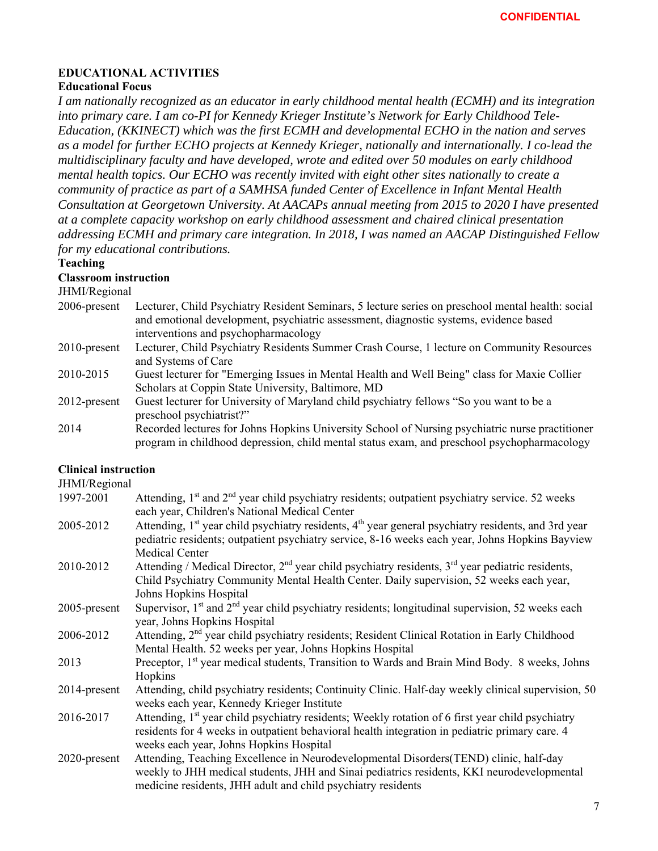#### **EDUCATIONAL ACTIVITIES**

#### **Educational Focus**

*I am nationally recognized as an educator in early childhood mental health (ECMH) and its integration into primary care. I am co-PI for Kennedy Krieger Institute's Network for Early Childhood Tele-Education, (KKINECT) which was the first ECMH and developmental ECHO in the nation and serves as a model for further ECHO projects at Kennedy Krieger, nationally and internationally. I co-lead the multidisciplinary faculty and have developed, wrote and edited over 50 modules on early childhood mental health topics. Our ECHO was recently invited with eight other sites nationally to create a community of practice as part of a SAMHSA funded Center of Excellence in Infant Mental Health Consultation at Georgetown University. At AACAPs annual meeting from 2015 to 2020 I have presented at a complete capacity workshop on early childhood assessment and chaired clinical presentation addressing ECMH and primary care integration. In 2018, I was named an AACAP Distinguished Fellow for my educational contributions.*

**Teaching**

#### **Classroom instruction**

JHMI/Regional

- 2006-present Lecturer, Child Psychiatry Resident Seminars, 5 lecture series on preschool mental health: social and emotional development, psychiatric assessment, diagnostic systems, evidence based interventions and psychopharmacology
- 2010-present Lecturer, Child Psychiatry Residents Summer Crash Course, 1 lecture on Community Resources and Systems of Care
- 2010-2015 Guest lecturer for "Emerging Issues in Mental Health and Well Being" class for Maxie Collier Scholars at Coppin State University, Baltimore, MD
- 2012-present Guest lecturer for University of Maryland child psychiatry fellows "So you want to be a preschool psychiatrist?"
- 2014 Recorded lectures for Johns Hopkins University School of Nursing psychiatric nurse practitioner program in childhood depression, child mental status exam, and preschool psychopharmacology

#### **Clinical instruction**

JHMI/Regional 1997-2001 Attending,  $1<sup>st</sup>$  and  $2<sup>nd</sup>$  year child psychiatry residents; outpatient psychiatry service. 52 weeks each year, Children's National Medical Center 2005-2012 Attending, 1<sup>st</sup> year child psychiatry residents, 4<sup>th</sup> year general psychiatry residents, and 3rd year pediatric residents; outpatient psychiatry service, 8-16 weeks each year, Johns Hopkins Bayview Medical Center 2010-2012 Attending / Medical Director,  $2<sup>nd</sup>$  year child psychiatry residents,  $3<sup>rd</sup>$  year pediatric residents, Child Psychiatry Community Mental Health Center. Daily supervision, 52 weeks each year, Johns Hopkins Hospital 2005-present Supervisor,  $1<sup>st</sup>$  and  $2<sup>nd</sup>$  year child psychiatry residents; longitudinal supervision, 52 weeks each year, Johns Hopkins Hospital 2006-2012 Attending, 2nd year child psychiatry residents; Resident Clinical Rotation in Early Childhood Mental Health. 52 weeks per year, Johns Hopkins Hospital 2013 Preceptor, 1<sup>st</sup> year medical students, Transition to Wards and Brain Mind Body. 8 weeks, Johns Hopkins 2014-present Attending, child psychiatry residents; Continuity Clinic. Half-day weekly clinical supervision, 50 weeks each year, Kennedy Krieger Institute 2016-2017 Attending,  $1^{st}$  year child psychiatry residents; Weekly rotation of 6 first year child psychiatry residents for 4 weeks in outpatient behavioral health integration in pediatric primary care. 4 weeks each year, Johns Hopkins Hospital 2020-present Attending, Teaching Excellence in Neurodevelopmental Disorders(TEND) clinic, half-day weekly to JHH medical students, JHH and Sinai pediatrics residents, KKI neurodevelopmental medicine residents, JHH adult and child psychiatry residents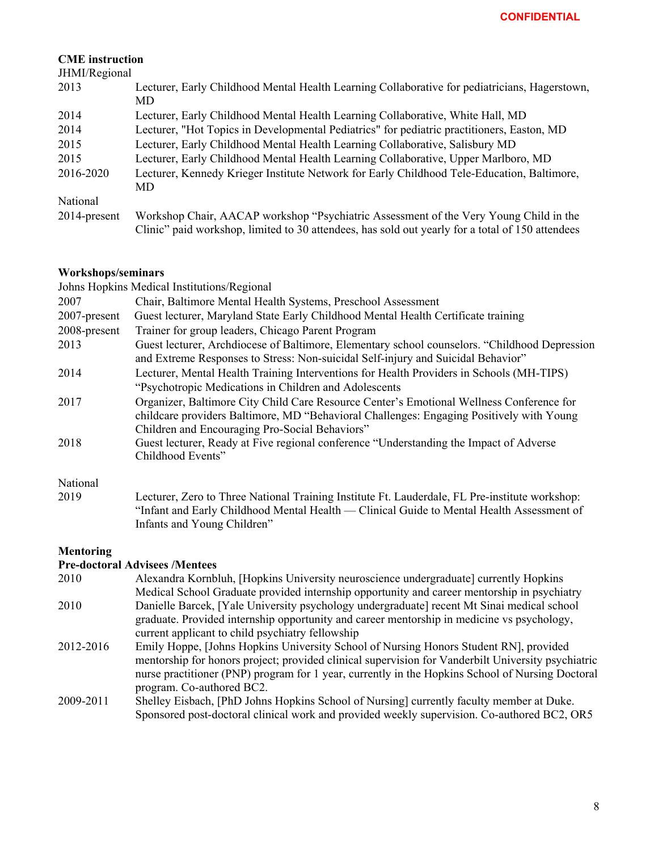#### **CME instruction**

|  | JHMI/Regional |  |
|--|---------------|--|
|  |               |  |

| 51111111110011011 |                                                                                                  |
|-------------------|--------------------------------------------------------------------------------------------------|
| 2013              | Lecturer, Early Childhood Mental Health Learning Collaborative for pediatricians, Hagerstown,    |
|                   | MD                                                                                               |
| 2014              | Lecturer, Early Childhood Mental Health Learning Collaborative, White Hall, MD                   |
| 2014              | Lecturer, "Hot Topics in Developmental Pediatrics" for pediatric practitioners, Easton, MD       |
| 2015              | Lecturer, Early Childhood Mental Health Learning Collaborative, Salisbury MD                     |
| 2015              | Lecturer, Early Childhood Mental Health Learning Collaborative, Upper Marlboro, MD               |
| 2016-2020         | Lecturer, Kennedy Krieger Institute Network for Early Childhood Tele-Education, Baltimore,       |
|                   | MD                                                                                               |
| National          |                                                                                                  |
| $2014$ -present   | Workshop Chair, AACAP workshop "Psychiatric Assessment of the Very Young Child in the            |
|                   | Clinic" paid workshop, limited to 30 attendees, has sold out yearly for a total of 150 attendees |

# **Workshops/seminars**

|              | Johns Hopkins Medical Institutions/Regional                                                                                                                                                                                            |
|--------------|----------------------------------------------------------------------------------------------------------------------------------------------------------------------------------------------------------------------------------------|
| 2007         | Chair, Baltimore Mental Health Systems, Preschool Assessment                                                                                                                                                                           |
| 2007-present | Guest lecturer, Maryland State Early Childhood Mental Health Certificate training                                                                                                                                                      |
| 2008-present | Trainer for group leaders, Chicago Parent Program                                                                                                                                                                                      |
| 2013         | Guest lecturer, Archdiocese of Baltimore, Elementary school counselors. "Childhood Depression<br>and Extreme Responses to Stress: Non-suicidal Self-injury and Suicidal Behavior"                                                      |
| 2014         | Lecturer, Mental Health Training Interventions for Health Providers in Schools (MH-TIPS)<br>"Psychotropic Medications in Children and Adolescents                                                                                      |
| 2017         | Organizer, Baltimore City Child Care Resource Center's Emotional Wellness Conference for<br>childcare providers Baltimore, MD "Behavioral Challenges: Engaging Positively with Young<br>Children and Encouraging Pro-Social Behaviors" |
| 2018         | Guest lecturer, Ready at Five regional conference "Understanding the Impact of Adverse<br>Childhood Events"                                                                                                                            |
| National     |                                                                                                                                                                                                                                        |
| 2019         | Lecturer, Zero to Three National Training Institute Ft. Lauderdale, FL Pre-institute workshop:<br>"Infant and Early Childhood Mental Health — Clinical Guide to Mental Health Assessment of                                            |

#### **Mentoring**

# **Pre-doctoral Advisees /Mentees**

Infants and Young Children"

| 2010      | Alexandra Kornbluh, [Hopkins University neuroscience undergraduate] currently Hopkins              |
|-----------|----------------------------------------------------------------------------------------------------|
|           | Medical School Graduate provided internship opportunity and career mentorship in psychiatry        |
| 2010      | Danielle Barcek, [Yale University psychology undergraduate] recent Mt Sinai medical school         |
|           | graduate. Provided internship opportunity and career mentorship in medicine vs psychology,         |
|           | current applicant to child psychiatry fellowship                                                   |
| 2012-2016 | Emily Hoppe, JJohns Hopkins University School of Nursing Honors Student RNJ, provided              |
|           | mentorship for honors project; provided clinical supervision for Vanderbilt University psychiatric |
|           | nurse practitioner (PNP) program for 1 year, currently in the Hopkins School of Nursing Doctoral   |
|           | program. Co-authored BC2.                                                                          |
| 2009-2011 | Shelley Eisbach, [PhD Johns Hopkins School of Nursing] currently faculty member at Duke.           |
|           | Sponsored post-doctoral clinical work and provided weekly supervision. Co-authored BC2, OR5        |
|           |                                                                                                    |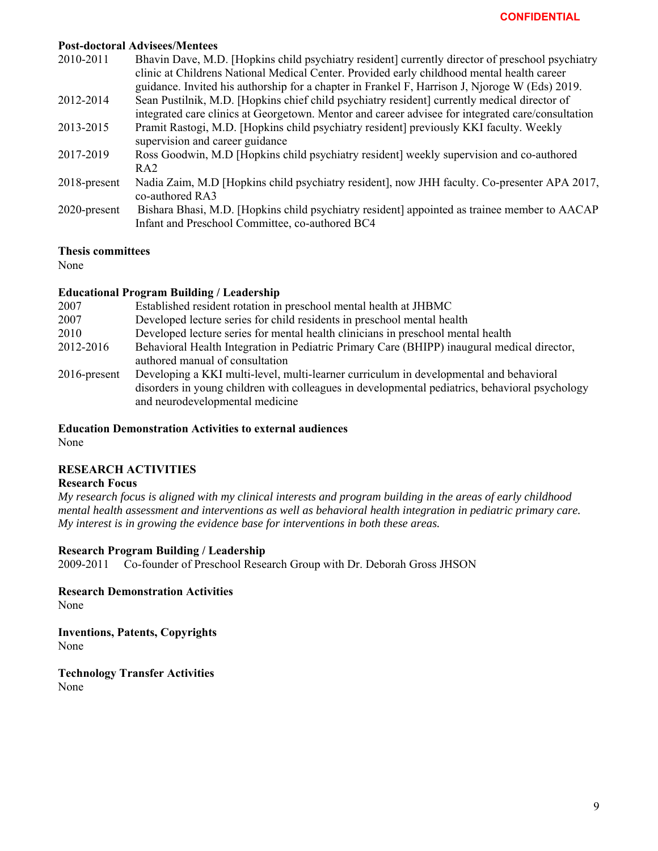#### **Post-doctoral Advisees/Mentees**

| 2010-2011       | Bhavin Dave, M.D. [Hopkins child psychiatry resident] currently director of preschool psychiatry  |
|-----------------|---------------------------------------------------------------------------------------------------|
|                 | clinic at Childrens National Medical Center. Provided early childhood mental health career        |
|                 | guidance. Invited his authorship for a chapter in Frankel F, Harrison J, Njoroge W (Eds) 2019.    |
| 2012-2014       | Sean Pustilnik, M.D. [Hopkins chief child psychiatry resident] currently medical director of      |
|                 | integrated care clinics at Georgetown. Mentor and career advisee for integrated care/consultation |
| 2013-2015       | Pramit Rastogi, M.D. [Hopkins child psychiatry resident] previously KKI faculty. Weekly           |
|                 | supervision and career guidance                                                                   |
| 2017-2019       | Ross Goodwin, M.D [Hopkins child psychiatry resident] weekly supervision and co-authored          |
|                 | RA2                                                                                               |
| $2018$ -present | Nadia Zaim, M.D [Hopkins child psychiatry resident], now JHH faculty. Co-presenter APA 2017,      |
|                 | co-authored RA3                                                                                   |
| 2020-present    | Bishara Bhasi, M.D. [Hopkins child psychiatry resident] appointed as trainee member to AACAP      |
|                 | Infant and Preschool Committee, co-authored BC4                                                   |
|                 |                                                                                                   |

#### **Thesis committees**

None

#### **Educational Program Building / Leadership**

| 2007            | Established resident rotation in preschool mental health at JHBMC                              |
|-----------------|------------------------------------------------------------------------------------------------|
| 2007            | Developed lecture series for child residents in preschool mental health                        |
| 2010            | Developed lecture series for mental health clinicians in preschool mental health               |
| 2012-2016       | Behavioral Health Integration in Pediatric Primary Care (BHIPP) inaugural medical director,    |
|                 | authored manual of consultation                                                                |
| $2016$ -present | Developing a KKI multi-level, multi-learner curriculum in developmental and behavioral         |
|                 | disorders in young children with colleagues in developmental pediatrics, behavioral psychology |
|                 | and neurodevelopmental medicine                                                                |

**Education Demonstration Activities to external audiences** 

None

#### **RESEARCH ACTIVITIES**

#### **Research Focus**

*My research focus is aligned with my clinical interests and program building in the areas of early childhood mental health assessment and interventions as well as behavioral health integration in pediatric primary care. My interest is in growing the evidence base for interventions in both these areas.* 

#### **Research Program Building / Leadership**

2009-2011 Co-founder of Preschool Research Group with Dr. Deborah Gross JHSON

**Research Demonstration Activities**  None

**Inventions, Patents, Copyrights**  None

**Technology Transfer Activities**  None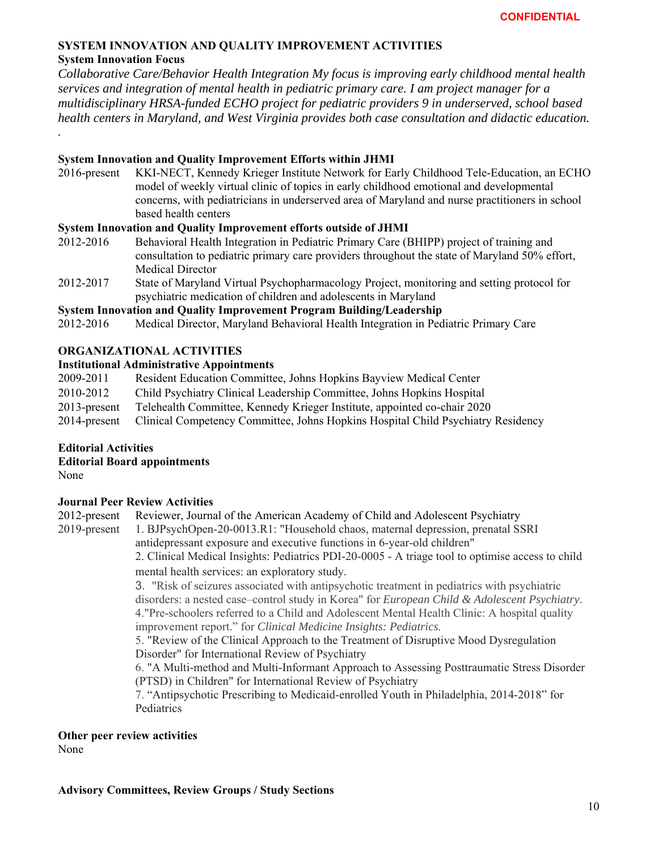#### **SYSTEM INNOVATION AND QUALITY IMPROVEMENT ACTIVITIES System Innovation Focus**

*Collaborative Care/Behavior Health Integration My focus is improving early childhood mental health services and integration of mental health in pediatric primary care. I am project manager for a multidisciplinary HRSA-funded ECHO project for pediatric providers 9 in underserved, school based health centers in Maryland, and West Virginia provides both case consultation and didactic education.*

#### **System Innovation and Quality Improvement Efforts within JHMI**

2016-present KKI-NECT, Kennedy Krieger Institute Network for Early Childhood Tele-Education, an ECHO model of weekly virtual clinic of topics in early childhood emotional and developmental concerns, with pediatricians in underserved area of Maryland and nurse practitioners in school based health centers

#### **System Innovation and Quality Improvement efforts outside of JHMI**

- 2012-2016 Behavioral Health Integration in Pediatric Primary Care (BHIPP) project of training and consultation to pediatric primary care providers throughout the state of Maryland 50% effort, Medical Director
- 2012-2017 State of Maryland Virtual Psychopharmacology Project, monitoring and setting protocol for psychiatric medication of children and adolescents in Maryland

#### **System Innovation and Quality Improvement Program Building/Leadership**

2012-2016 Medical Director, Maryland Behavioral Health Integration in Pediatric Primary Care

# **ORGANIZATIONAL ACTIVITIES**

#### **Institutional Administrative Appointments**

- 2009-2011 Resident Education Committee, Johns Hopkins Bayview Medical Center
- 2010-2012 Child Psychiatry Clinical Leadership Committee, Johns Hopkins Hospital
- 2013-present Telehealth Committee, Kennedy Krieger Institute, appointed co-chair 2020
- 2014-present Clinical Competency Committee, Johns Hopkins Hospital Child Psychiatry Residency

#### **Editorial Activities**

**Editorial Board appointments** 

None

*.* 

#### **Journal Peer Review Activities**

2012-present Reviewer, Journal of the American Academy of Child and Adolescent Psychiatry

2019-present 1. BJPsychOpen-20-0013.R1: "Household chaos, maternal depression, prenatal SSRI antidepressant exposure and executive functions in 6-year-old children"

> 2. Clinical Medical Insights: Pediatrics PDI-20-0005 - A triage tool to optimise access to child mental health services: an exploratory study.

> 3. "Risk of seizures associated with antipsychotic treatment in pediatrics with psychiatric disorders: a nested case–control study in Korea" for *European Child & Adolescent Psychiatry*. 4."Pre-schoolers referred to a Child and Adolescent Mental Health Clinic: A hospital quality improvement report." for *Clinical Medicine Insights: Pediatrics*.

5. "Review of the Clinical Approach to the Treatment of Disruptive Mood Dysregulation Disorder" for International Review of Psychiatry

6. "A Multi-method and Multi-Informant Approach to Assessing Posttraumatic Stress Disorder (PTSD) in Children" for International Review of Psychiatry

7. "Antipsychotic Prescribing to Medicaid-enrolled Youth in Philadelphia, 2014-2018" for Pediatrics

**Other peer review activities**  None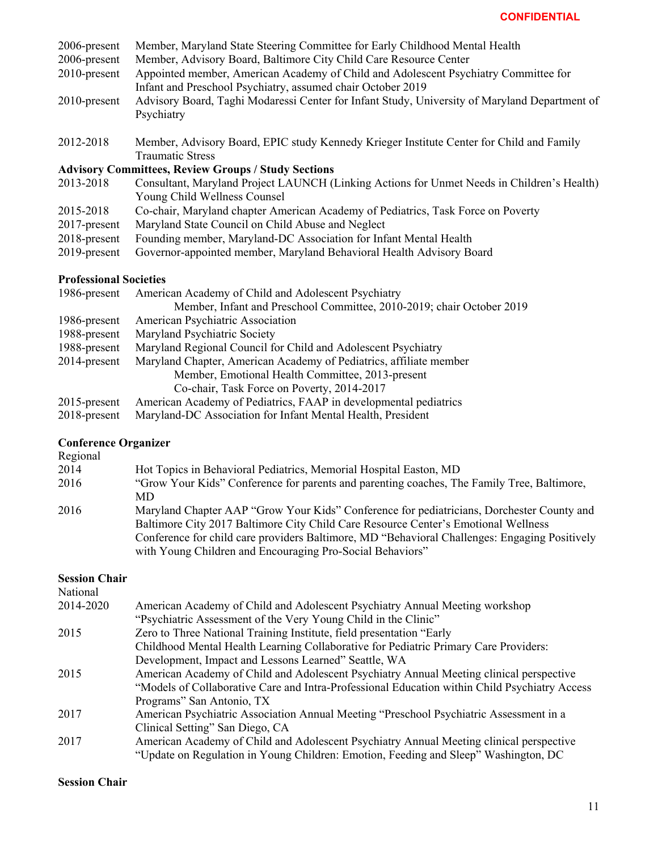| 2006-present                                               | Member, Maryland State Steering Committee for Early Childhood Mental Health                                                                        |  |
|------------------------------------------------------------|----------------------------------------------------------------------------------------------------------------------------------------------------|--|
| 2006-present                                               | Member, Advisory Board, Baltimore City Child Care Resource Center                                                                                  |  |
| 2010-present                                               | Appointed member, American Academy of Child and Adolescent Psychiatry Committee for<br>Infant and Preschool Psychiatry, assumed chair October 2019 |  |
| $2010$ -present                                            | Advisory Board, Taghi Modaressi Center for Infant Study, University of Maryland Department of<br>Psychiatry                                        |  |
| 2012-2018                                                  | Member, Advisory Board, EPIC study Kennedy Krieger Institute Center for Child and Family<br><b>Traumatic Stress</b>                                |  |
| <b>Advisory Committees, Review Groups / Study Sections</b> |                                                                                                                                                    |  |
| 2013-2018                                                  | Consultant, Maryland Project LAUNCH (Linking Actions for Unmet Needs in Children's Health)<br>Young Child Wellness Counsel                         |  |
| 2015-2018                                                  | Co-chair, Maryland chapter American Academy of Pediatrics, Task Force on Poverty                                                                   |  |
| $2017$ -present                                            | Maryland State Council on Child Abuse and Neglect                                                                                                  |  |
| 2018-present                                               | Founding member, Maryland-DC Association for Infant Mental Health                                                                                  |  |
| $2019$ -present                                            | Governor-appointed member, Maryland Behavioral Health Advisory Board                                                                               |  |

# **Professional Societies**

| 1986-present    | American Academy of Child and Adolescent Psychiatry                   |
|-----------------|-----------------------------------------------------------------------|
|                 | Member, Infant and Preschool Committee, 2010-2019; chair October 2019 |
| 1986-present    | American Psychiatric Association                                      |
| 1988-present    | Maryland Psychiatric Society                                          |
| 1988-present    | Maryland Regional Council for Child and Adolescent Psychiatry         |
| 2014-present    | Maryland Chapter, American Academy of Pediatrics, affiliate member    |
|                 | Member, Emotional Health Committee, 2013-present                      |
|                 | Co-chair, Task Force on Poverty, 2014-2017                            |
| $2015$ -present | American Academy of Pediatrics, FAAP in developmental pediatrics      |
| $2018$ -present | Maryland-DC Association for Infant Mental Health, President           |

#### **Conference Organizer**

| Regional |                                                                                                                                                                                 |
|----------|---------------------------------------------------------------------------------------------------------------------------------------------------------------------------------|
| 2014     | Hot Topics in Behavioral Pediatrics, Memorial Hospital Easton, MD                                                                                                               |
| 2016     | "Grow Your Kids" Conference for parents and parenting coaches, The Family Tree, Baltimore,                                                                                      |
|          | MD.                                                                                                                                                                             |
| 2016     | Maryland Chapter AAP "Grow Your Kids" Conference for pediatricians, Dorchester County and<br>Baltimore City 2017 Baltimore City Child Care Resource Center's Emotional Wellness |
|          | Conference for child care providers Baltimore, MD "Behavioral Challenges: Engaging Positively                                                                                   |
|          | with Young Children and Encouraging Pro-Social Behaviors"                                                                                                                       |

# **Session Chair**

| National  |                                                                                               |
|-----------|-----------------------------------------------------------------------------------------------|
| 2014-2020 | American Academy of Child and Adolescent Psychiatry Annual Meeting workshop                   |
|           | "Psychiatric Assessment of the Very Young Child in the Clinic"                                |
| 2015      | Zero to Three National Training Institute, field presentation "Early                          |
|           | Childhood Mental Health Learning Collaborative for Pediatric Primary Care Providers:          |
|           | Development, Impact and Lessons Learned" Seattle, WA                                          |
| 2015      | American Academy of Child and Adolescent Psychiatry Annual Meeting clinical perspective       |
|           | "Models of Collaborative Care and Intra-Professional Education within Child Psychiatry Access |
|           | Programs" San Antonio, TX                                                                     |
| 2017      | American Psychiatric Association Annual Meeting "Preschool Psychiatric Assessment in a        |
|           | Clinical Setting" San Diego, CA                                                               |
| 2017      | American Academy of Child and Adolescent Psychiatry Annual Meeting clinical perspective       |
|           | "Update on Regulation in Young Children: Emotion, Feeding and Sleep" Washington, DC           |

# **Session Chair**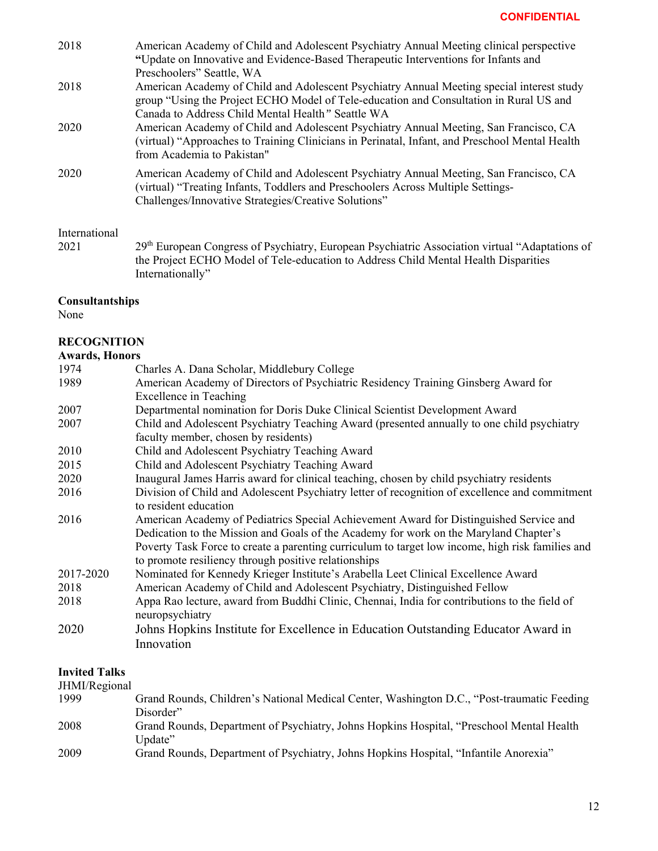| 2018 | American Academy of Child and Adolescent Psychiatry Annual Meeting clinical perspective        |
|------|------------------------------------------------------------------------------------------------|
|      | "Update on Innovative and Evidence-Based Therapeutic Interventions for Infants and             |
|      | Preschoolers" Seattle, WA                                                                      |
| 2018 | American Academy of Child and Adolescent Psychiatry Annual Meeting special interest study      |
|      | group "Using the Project ECHO Model of Tele-education and Consultation in Rural US and         |
|      | Canada to Address Child Mental Health" Seattle WA                                              |
| 2020 | American Academy of Child and Adolescent Psychiatry Annual Meeting, San Francisco, CA          |
|      | (virtual) "Approaches to Training Clinicians in Perinatal, Infant, and Preschool Mental Health |
|      | from Academia to Pakistan"                                                                     |
| 2020 | American Academy of Child and Adolescent Psychiatry Annual Meeting, San Francisco, CA          |
|      | (virtual) "Treating Infants, Toddlers and Preschoolers Across Multiple Settings-               |
|      | Challenges/Innovative Strategies/Creative Solutions"                                           |
|      |                                                                                                |
|      |                                                                                                |

# International<br>2021

2021 29<sup>th</sup> European Congress of Psychiatry, European Psychiatric Association virtual "Adaptations of the Project ECHO Model of Tele-education to Address Child Mental Health Disparities Internationally"

# **Consultantships**

None

# **RECOGNITION**

# **Awards, Honors**

| AWALUS, LIUIIULS                                                                                 |
|--------------------------------------------------------------------------------------------------|
| Charles A. Dana Scholar, Middlebury College                                                      |
| American Academy of Directors of Psychiatric Residency Training Ginsberg Award for               |
| <b>Excellence in Teaching</b>                                                                    |
| Departmental nomination for Doris Duke Clinical Scientist Development Award                      |
| Child and Adolescent Psychiatry Teaching Award (presented annually to one child psychiatry       |
| faculty member, chosen by residents)                                                             |
| Child and Adolescent Psychiatry Teaching Award                                                   |
| Child and Adolescent Psychiatry Teaching Award                                                   |
| Inaugural James Harris award for clinical teaching, chosen by child psychiatry residents         |
| Division of Child and Adolescent Psychiatry letter of recognition of excellence and commitment   |
| to resident education                                                                            |
| American Academy of Pediatrics Special Achievement Award for Distinguished Service and           |
| Dedication to the Mission and Goals of the Academy for work on the Maryland Chapter's            |
| Poverty Task Force to create a parenting curriculum to target low income, high risk families and |
| to promote resiliency through positive relationships                                             |
| Nominated for Kennedy Krieger Institute's Arabella Leet Clinical Excellence Award                |
| American Academy of Child and Adolescent Psychiatry, Distinguished Fellow                        |
| Appa Rao lecture, award from Buddhi Clinic, Chennai, India for contributions to the field of     |
| neuropsychiatry                                                                                  |
| Johns Hopkins Institute for Excellence in Education Outstanding Educator Award in                |
| Innovation                                                                                       |
|                                                                                                  |
|                                                                                                  |

#### **Invited Talks**

JHMI/Regional

| 0.1111111110111111 |                                                                                            |
|--------------------|--------------------------------------------------------------------------------------------|
| 1999               | Grand Rounds, Children's National Medical Center, Washington D.C., "Post-traumatic Feeding |
|                    | Disorder"                                                                                  |
| 2008               | Grand Rounds, Department of Psychiatry, Johns Hopkins Hospital, "Preschool Mental Health"  |
|                    | Undate"                                                                                    |
| 2009               | Grand Rounds, Department of Psychiatry, Johns Hopkins Hospital, "Infantile Anorexia"       |
|                    |                                                                                            |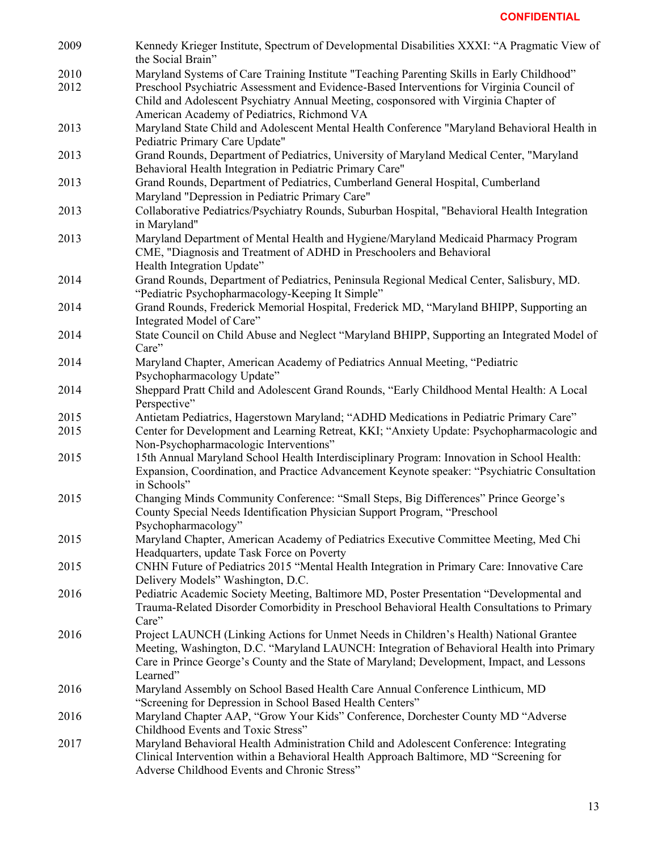# **CONFIDENTIAL**

| 2009         | Kennedy Krieger Institute, Spectrum of Developmental Disabilities XXXI: "A Pragmatic View of                                                                                                                                                                                                                                   |
|--------------|--------------------------------------------------------------------------------------------------------------------------------------------------------------------------------------------------------------------------------------------------------------------------------------------------------------------------------|
|              | the Social Brain"                                                                                                                                                                                                                                                                                                              |
| 2010<br>2012 | Maryland Systems of Care Training Institute "Teaching Parenting Skills in Early Childhood"<br>Preschool Psychiatric Assessment and Evidence-Based Interventions for Virginia Council of<br>Child and Adolescent Psychiatry Annual Meeting, cosponsored with Virginia Chapter of<br>American Academy of Pediatrics, Richmond VA |
| 2013         | Maryland State Child and Adolescent Mental Health Conference "Maryland Behavioral Health in<br>Pediatric Primary Care Update"                                                                                                                                                                                                  |
| 2013         | Grand Rounds, Department of Pediatrics, University of Maryland Medical Center, "Maryland<br>Behavioral Health Integration in Pediatric Primary Care"                                                                                                                                                                           |
| 2013         | Grand Rounds, Department of Pediatrics, Cumberland General Hospital, Cumberland<br>Maryland "Depression in Pediatric Primary Care"                                                                                                                                                                                             |
| 2013         | Collaborative Pediatrics/Psychiatry Rounds, Suburban Hospital, "Behavioral Health Integration<br>in Maryland"                                                                                                                                                                                                                  |
| 2013         | Maryland Department of Mental Health and Hygiene/Maryland Medicaid Pharmacy Program<br>CME, "Diagnosis and Treatment of ADHD in Preschoolers and Behavioral<br>Health Integration Update"                                                                                                                                      |
| 2014         | Grand Rounds, Department of Pediatrics, Peninsula Regional Medical Center, Salisbury, MD.<br>"Pediatric Psychopharmacology-Keeping It Simple"                                                                                                                                                                                  |
| 2014         | Grand Rounds, Frederick Memorial Hospital, Frederick MD, "Maryland BHIPP, Supporting an<br>Integrated Model of Care"                                                                                                                                                                                                           |
| 2014         | State Council on Child Abuse and Neglect "Maryland BHIPP, Supporting an Integrated Model of<br>Care"                                                                                                                                                                                                                           |
| 2014         | Maryland Chapter, American Academy of Pediatrics Annual Meeting, "Pediatric<br>Psychopharmacology Update"                                                                                                                                                                                                                      |
| 2014         | Sheppard Pratt Child and Adolescent Grand Rounds, "Early Childhood Mental Health: A Local<br>Perspective"                                                                                                                                                                                                                      |
| 2015         | Antietam Pediatrics, Hagerstown Maryland; "ADHD Medications in Pediatric Primary Care"                                                                                                                                                                                                                                         |
| 2015         | Center for Development and Learning Retreat, KKI; "Anxiety Update: Psychopharmacologic and<br>Non-Psychopharmacologic Interventions"                                                                                                                                                                                           |
| 2015         | 15th Annual Maryland School Health Interdisciplinary Program: Innovation in School Health:<br>Expansion, Coordination, and Practice Advancement Keynote speaker: "Psychiatric Consultation<br>in Schools"                                                                                                                      |
| 2015         | Changing Minds Community Conference: "Small Steps, Big Differences" Prince George's<br>County Special Needs Identification Physician Support Program, "Preschool<br>Psychopharmacology"                                                                                                                                        |
| 2015         | Maryland Chapter, American Academy of Pediatrics Executive Committee Meeting, Med Chi<br>Headquarters, update Task Force on Poverty                                                                                                                                                                                            |
| 2015         | CNHN Future of Pediatrics 2015 "Mental Health Integration in Primary Care: Innovative Care<br>Delivery Models" Washington, D.C.                                                                                                                                                                                                |
| 2016         | Pediatric Academic Society Meeting, Baltimore MD, Poster Presentation "Developmental and<br>Trauma-Related Disorder Comorbidity in Preschool Behavioral Health Consultations to Primary<br>Care"                                                                                                                               |
| 2016         | Project LAUNCH (Linking Actions for Unmet Needs in Children's Health) National Grantee<br>Meeting, Washington, D.C. "Maryland LAUNCH: Integration of Behavioral Health into Primary<br>Care in Prince George's County and the State of Maryland; Development, Impact, and Lessons<br>Learned"                                  |
| 2016         | Maryland Assembly on School Based Health Care Annual Conference Linthicum, MD<br>"Screening for Depression in School Based Health Centers"                                                                                                                                                                                     |
| 2016         | Maryland Chapter AAP, "Grow Your Kids" Conference, Dorchester County MD "Adverse<br>Childhood Events and Toxic Stress"                                                                                                                                                                                                         |
| 2017         | Maryland Behavioral Health Administration Child and Adolescent Conference: Integrating<br>Clinical Intervention within a Behavioral Health Approach Baltimore, MD "Screening for<br>Adverse Childhood Events and Chronic Stress"                                                                                               |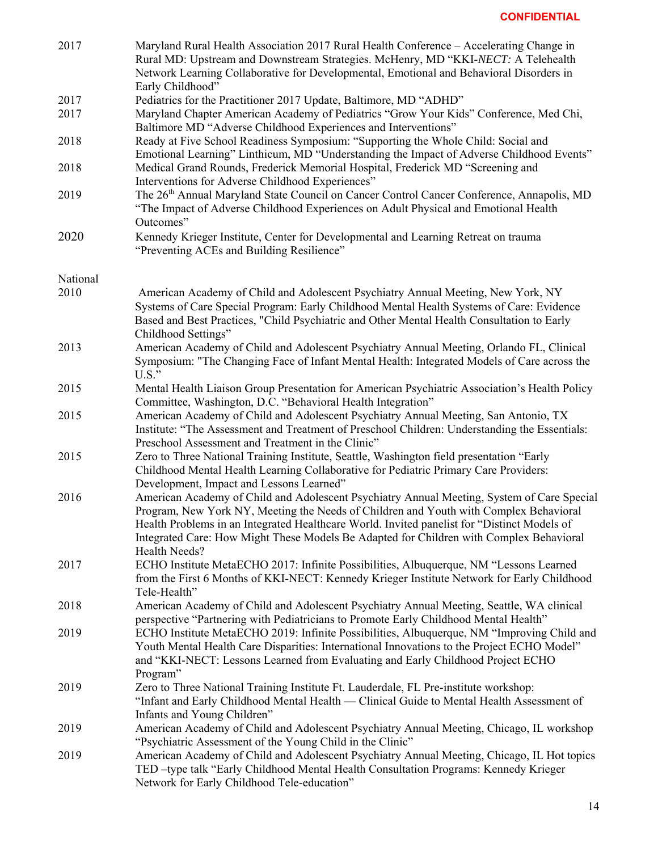| 2017     | Maryland Rural Health Association 2017 Rural Health Conference - Accelerating Change in<br>Rural MD: Upstream and Downstream Strategies. McHenry, MD "KKI-NECT: A Telehealth<br>Network Learning Collaborative for Developmental, Emotional and Behavioral Disorders in<br>Early Childhood"                                                                                                    |
|----------|------------------------------------------------------------------------------------------------------------------------------------------------------------------------------------------------------------------------------------------------------------------------------------------------------------------------------------------------------------------------------------------------|
| 2017     | Pediatrics for the Practitioner 2017 Update, Baltimore, MD "ADHD"                                                                                                                                                                                                                                                                                                                              |
| 2017     | Maryland Chapter American Academy of Pediatrics "Grow Your Kids" Conference, Med Chi,<br>Baltimore MD "Adverse Childhood Experiences and Interventions"                                                                                                                                                                                                                                        |
| 2018     | Ready at Five School Readiness Symposium: "Supporting the Whole Child: Social and<br>Emotional Learning" Linthicum, MD "Understanding the Impact of Adverse Childhood Events"                                                                                                                                                                                                                  |
| 2018     | Medical Grand Rounds, Frederick Memorial Hospital, Frederick MD "Screening and<br>Interventions for Adverse Childhood Experiences"                                                                                                                                                                                                                                                             |
| 2019     | The 26 <sup>th</sup> Annual Maryland State Council on Cancer Control Cancer Conference, Annapolis, MD<br>"The Impact of Adverse Childhood Experiences on Adult Physical and Emotional Health<br>Outcomes"                                                                                                                                                                                      |
| 2020     | Kennedy Krieger Institute, Center for Developmental and Learning Retreat on trauma<br>"Preventing ACEs and Building Resilience"                                                                                                                                                                                                                                                                |
| National |                                                                                                                                                                                                                                                                                                                                                                                                |
| 2010     | American Academy of Child and Adolescent Psychiatry Annual Meeting, New York, NY<br>Systems of Care Special Program: Early Childhood Mental Health Systems of Care: Evidence<br>Based and Best Practices, "Child Psychiatric and Other Mental Health Consultation to Early<br>Childhood Settings"                                                                                              |
| 2013     | American Academy of Child and Adolescent Psychiatry Annual Meeting, Orlando FL, Clinical<br>Symposium: "The Changing Face of Infant Mental Health: Integrated Models of Care across the<br>$U.S.$ "                                                                                                                                                                                            |
| 2015     | Mental Health Liaison Group Presentation for American Psychiatric Association's Health Policy<br>Committee, Washington, D.C. "Behavioral Health Integration"                                                                                                                                                                                                                                   |
| 2015     | American Academy of Child and Adolescent Psychiatry Annual Meeting, San Antonio, TX<br>Institute: "The Assessment and Treatment of Preschool Children: Understanding the Essentials:<br>Preschool Assessment and Treatment in the Clinic"                                                                                                                                                      |
| 2015     | Zero to Three National Training Institute, Seattle, Washington field presentation "Early<br>Childhood Mental Health Learning Collaborative for Pediatric Primary Care Providers:<br>Development, Impact and Lessons Learned"                                                                                                                                                                   |
| 2016     | American Academy of Child and Adolescent Psychiatry Annual Meeting, System of Care Special<br>Program, New York NY, Meeting the Needs of Children and Youth with Complex Behavioral<br>Health Problems in an Integrated Healthcare World. Invited panelist for "Distinct Models of<br>Integrated Care: How Might These Models Be Adapted for Children with Complex Behavioral<br>Health Needs? |
| 2017     | ECHO Institute MetaECHO 2017: Infinite Possibilities, Albuquerque, NM "Lessons Learned<br>from the First 6 Months of KKI-NECT: Kennedy Krieger Institute Network for Early Childhood<br>Tele-Health"                                                                                                                                                                                           |
| 2018     | American Academy of Child and Adolescent Psychiatry Annual Meeting, Seattle, WA clinical<br>perspective "Partnering with Pediatricians to Promote Early Childhood Mental Health"                                                                                                                                                                                                               |
| 2019     | ECHO Institute MetaECHO 2019: Infinite Possibilities, Albuquerque, NM "Improving Child and<br>Youth Mental Health Care Disparities: International Innovations to the Project ECHO Model"<br>and "KKI-NECT: Lessons Learned from Evaluating and Early Childhood Project ECHO<br>Program"                                                                                                        |
| 2019     | Zero to Three National Training Institute Ft. Lauderdale, FL Pre-institute workshop:<br>"Infant and Early Childhood Mental Health - Clinical Guide to Mental Health Assessment of<br>Infants and Young Children"                                                                                                                                                                               |
| 2019     | American Academy of Child and Adolescent Psychiatry Annual Meeting, Chicago, IL workshop<br>"Psychiatric Assessment of the Young Child in the Clinic"                                                                                                                                                                                                                                          |
| 2019     | American Academy of Child and Adolescent Psychiatry Annual Meeting, Chicago, IL Hot topics<br>TED -type talk "Early Childhood Mental Health Consultation Programs: Kennedy Krieger<br>Network for Early Childhood Tele-education"                                                                                                                                                              |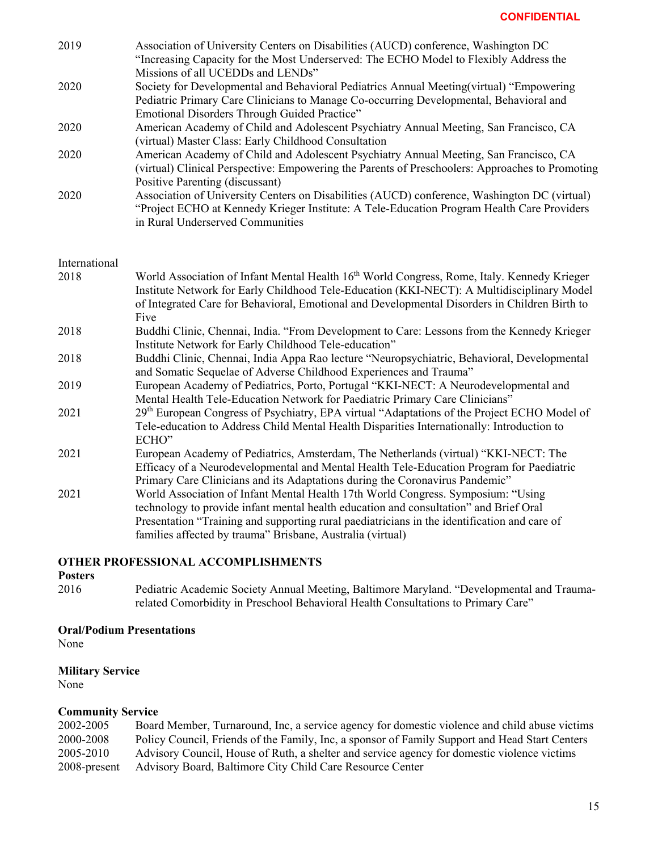| 2019 | Association of University Centers on Disabilities (AUCD) conference, Washington DC              |
|------|-------------------------------------------------------------------------------------------------|
|      | "Increasing Capacity for the Most Underserved: The ECHO Model to Flexibly Address the           |
|      | Missions of all UCEDDs and LENDs"                                                               |
| 2020 | Society for Developmental and Behavioral Pediatrics Annual Meeting (virtual) "Empowering        |
|      | Pediatric Primary Care Clinicians to Manage Co-occurring Developmental, Behavioral and          |
|      | Emotional Disorders Through Guided Practice"                                                    |
| 2020 | American Academy of Child and Adolescent Psychiatry Annual Meeting, San Francisco, CA           |
|      | (virtual) Master Class: Early Childhood Consultation                                            |
| 2020 | American Academy of Child and Adolescent Psychiatry Annual Meeting, San Francisco, CA           |
|      | (virtual) Clinical Perspective: Empowering the Parents of Preschoolers: Approaches to Promoting |
|      | Positive Parenting (discussant)                                                                 |
| 2020 | Association of University Centers on Disabilities (AUCD) conference, Washington DC (virtual)    |
|      | "Project ECHO at Kennedy Krieger Institute: A Tele-Education Program Health Care Providers      |
|      | in Rural Underserved Communities                                                                |

| 2018 | World Association of Infant Mental Health 16 <sup>th</sup> World Congress, Rome, Italy. Kennedy Krieger<br>Institute Network for Early Childhood Tele-Education (KKI-NECT): A Multidisciplinary Model<br>of Integrated Care for Behavioral, Emotional and Developmental Disorders in Children Birth to<br>Five                          |
|------|-----------------------------------------------------------------------------------------------------------------------------------------------------------------------------------------------------------------------------------------------------------------------------------------------------------------------------------------|
| 2018 | Buddhi Clinic, Chennai, India. "From Development to Care: Lessons from the Kennedy Krieger<br>Institute Network for Early Childhood Tele-education"                                                                                                                                                                                     |
| 2018 | Buddhi Clinic, Chennai, India Appa Rao lecture "Neuropsychiatric, Behavioral, Developmental<br>and Somatic Sequelae of Adverse Childhood Experiences and Trauma"                                                                                                                                                                        |
| 2019 | European Academy of Pediatrics, Porto, Portugal "KKI-NECT: A Neurodevelopmental and<br>Mental Health Tele-Education Network for Paediatric Primary Care Clinicians"                                                                                                                                                                     |
| 2021 | 29 <sup>th</sup> European Congress of Psychiatry, EPA virtual "Adaptations of the Project ECHO Model of<br>Tele-education to Address Child Mental Health Disparities Internationally: Introduction to<br>ECHO"                                                                                                                          |
| 2021 | European Academy of Pediatrics, Amsterdam, The Netherlands (virtual) "KKI-NECT: The<br>Efficacy of a Neurodevelopmental and Mental Health Tele-Education Program for Paediatric<br>Primary Care Clinicians and its Adaptations during the Coronavirus Pandemic"                                                                         |
| 2021 | World Association of Infant Mental Health 17th World Congress. Symposium: "Using<br>technology to provide infant mental health education and consultation" and Brief Oral<br>Presentation "Training and supporting rural paediatricians in the identification and care of<br>families affected by trauma" Brisbane, Australia (virtual) |

#### **OTHER PROFESSIONAL ACCOMPLISHMENTS**

Posters<br>2016 Pediatric Academic Society Annual Meeting, Baltimore Maryland. "Developmental and Traumarelated Comorbidity in Preschool Behavioral Health Consultations to Primary Care"

#### **Oral/Podium Presentations**

None

# **Military Service**

None

# **Community Service**

| 2002-2005    | Board Member, Turnaround, Inc, a service agency for domestic violence and child abuse victims  |
|--------------|------------------------------------------------------------------------------------------------|
| 2000-2008    | Policy Council, Friends of the Family, Inc, a sponsor of Family Support and Head Start Centers |
| 2005-2010    | Advisory Council, House of Ruth, a shelter and service agency for domestic violence victims    |
| 2008-present | Advisory Board, Baltimore City Child Care Resource Center                                      |